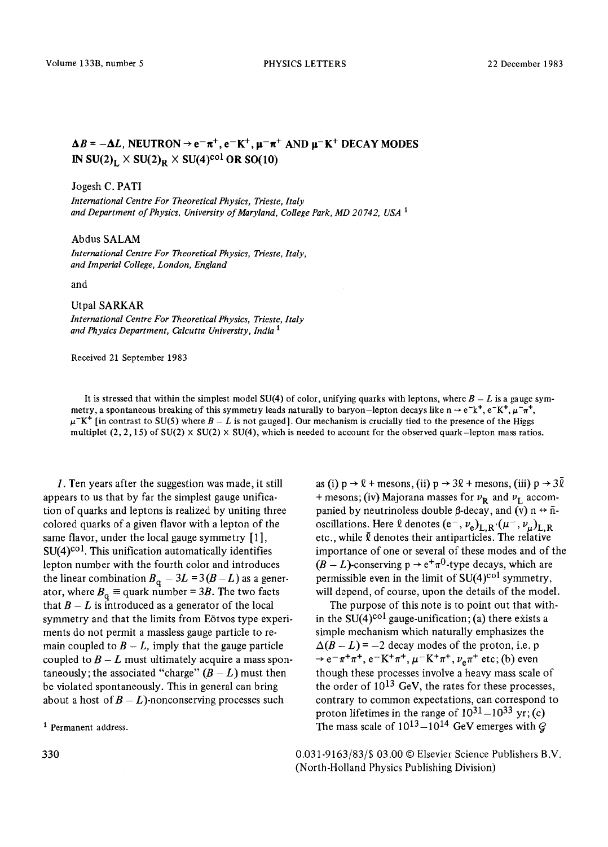# $\Delta B = -\Delta L$ , NEUTRON  $\rightarrow e^{-}\pi^{+}$ ,  $e^{-}K^{+}$ ,  $\mu^{-}\pi^{+}$  AND  $\mu^{-}K^{+}$  DECAY MODES IN SU(2)<sub>L</sub>  $\times$  SU(2)<sub>R</sub>  $\times$  SU(4)<sup>col</sup> OR SO(10)

#### Jogesh C. PATI

*International Centre For Theoretical Physics, Trieste, Italy and Department of Physics, University of Maryland, College Park, MD 20742, USA 1* 

## Abdus SALAM

*International Centre For Theoretical Physics, Trieste, Italy, and Imperial College, London, England* 

and

### Utpal SARKAR

*International Centre For Theoretical Physics, Trieste, Italy and Physics Department, Calcutta University, India 1* 

Received 21 September 1983

It is stressed that within the simplest model SU(4) of color, unifying quarks with leptons, where  $B - L$  is a gauge symmetry, a spontaneous breaking of this symmetry leads naturally to baryon-lepton decays like  $n \rightarrow e^-k^+$ ,  $e^-K^+$ ,  $\mu^-\pi^+$ ,  $\mu$ <sup>-</sup>K<sup>+</sup> [in contrast to SU(5) where  $B - L$  is not gauged]. Our mechanism is crucially tied to the presence of the Higgs multiplet  $(2, 2, 15)$  of SU(2)  $\times$  SU(2)  $\times$  SU(4), which is needed to account for the observed quark-lepton mass ratios.

1. Ten years after the suggestion was made, it still appears to us that by far the simplest gauge unification of quarks and leptons is realized by uniting three colored quarks of a given flavor with a lepton of the same flavor, under the local gauge symmetry [1],  $SU(4)$ <sup>col</sup>. This unification automatically identifies lepton number with the fourth color and introduces the linear combination  $B_{\alpha} - 3L = 3(B - L)$  as a generator, where  $B_{\alpha} \equiv$  quark number = 3B. The two facts that  $B - L$  is introduced as a generator of the local symmetry and that the limits from Eötvos type experiments do not permit a massless gauge particle to remain coupled to  $B - L$ , imply that the gauge particle coupled to  $B - L$  must ultimately acquire a mass spontaneously; the associated "charge"  $(B - L)$  must then be violated spontaneously. This in general can bring about a host of  $B - L$ )-nonconserving processes such

1 Permanent address.

as (i)  $p \rightarrow \ell +$  mesons, (ii)  $p \rightarrow 3\ell +$  mesons, (iii)  $p \rightarrow 3\overline{\ell}$ + mesons; (iv) Majorana masses for  $v_{\rm R}$  and  $v_{\rm L}$  accompanied by neutrinoless double  $\beta$ -decay, and (v) n  $\leftrightarrow$   $\bar{n}$ oscillations. Here  $\ell$  denotes  $(e^-, \nu_e)_{L,R'}(\mu^-, \nu_\mu)_{L,R}$ etc., while  $\bar{\ell}$  denotes their antiparticles. The relative importance of one or several of these modes and of the  $(B - L)$ -conserving  $p \rightarrow e^+ \pi^0$ -type decays, which are permissible even in the limit of  $SU(4)^{col}$  symmetry, will depend, of course, upon the details of the model.

The purpose of this note is to point out that within the SU(4)<sup>col</sup> gauge-unification; (a) there exists a simple mechanism which naturally emphasizes the  $\Delta(B - L) = -2$  decay modes of the proton, i.e. p  $\rightarrow e^{-}\pi^{+}\pi^{+}$ ,  $e^{-}K^{+}\pi^{+}$ ,  $\mu^{-}K^{+}\pi^{+}$ ,  $\nu_{e}\pi^{+}$  etc; (b) even though these processes involve a heavy mass scale of the order of  $10^{13}$  GeV, the rates for these processes, contrary to common expectations, can correspond to proton lifetimes in the range of  $10^{31} - 10^{33}$  yr; (c) The mass scale of  $10^{13}-10^{14}$  GeV emerges with  $\hat{Q}$ 

0.031-9163/83/\$ 03.00 © Elsevier Science Publishers B.V. (North-Holland Physics Publishing Division)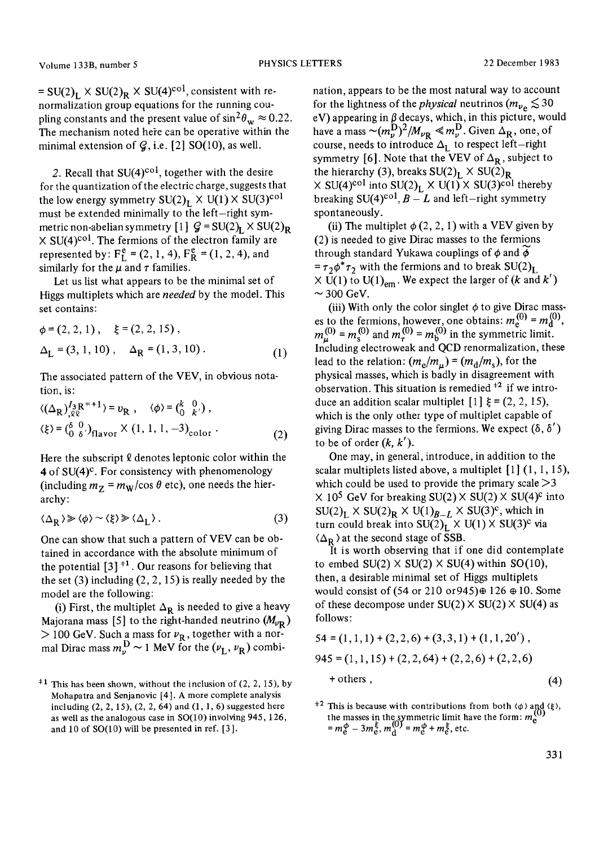$= SU(2)_L \times SU(2)_R \times SU(4)^{col}$ , consistent with renormalization group equations for the running coupling constants and the present value of  $\sin^2\theta_w \approx 0.22$ . The mechanism noted here can be operative within the minimal extension of  $Q$ , i.e. [2] SO(10), as well.

2. Recall that  $SU(4)$ <sup>col</sup>, together with the desire for the quantization of the electric charge, suggests that the low energy symmetry  $SU(2)_L \times U(1) \times SU(3)^{col}$ must be extended minimally to the left-right symmetric non-abelian symmetry  $[1]$   $Q = SU(2)_L \times SU(2)_R$  $\times$  SU(4)<sup>col</sup>. The fermions of the electron family are represented by:  $F_L^e = (2, 1, 4)$ ,  $F_R^e = (1, 2, 4)$ , and similarly for the  $\mu$  and  $\tau$  families.

Let us list what appears to be the minimal set of Higgs multiplets which are *needed* by the model. This set contains:

$$
\phi = (2, 2, 1), \quad \xi = (2, 2, 15),
$$
  
\n
$$
\Delta_{\mathbf{L}} = (3, 1, 10), \quad \Delta_{\mathbf{R}} = (1, 3, 10).
$$
 (1)

The associated pattern of the VEV, in obvious notation, is:

$$
\langle (\Delta_{\mathbf{R}})_{,\ell \ell}^{I_3 \mathbf{R}^{=}+1} \rangle = v_{\mathbf{R}} , \quad \langle \phi \rangle = {k \choose 0}^0, \langle \xi \rangle = {(\delta \quad 0)}^0, \gamma_{\text{flavor}} \times (1, 1, 1, -3)_{\text{color}} . \tag{2}
$$

Here the subscript  $\ell$  denotes leptonic color within the  $4$  of SU(4)<sup>c</sup>. For consistency with phenomenology (including  $m_Z = m_W / \cos \theta$  etc), one needs the hierarchy:

$$
\langle \Delta_R \rangle \gg \langle \phi \rangle \sim \langle \xi \rangle \gg \langle \Delta_L \rangle \,. \tag{3}
$$

One can show that such a pattern of VEV can be obtained in accordance with the absolute minimum of the potential  $[3]$ <sup> $\pm 1$ </sup>. Our reasons for believing that the set  $(3)$  including  $(2, 2, 15)$  is really needed by the model are the following:

(i) First, the multiplet  $\Delta_{\bf R}$  is needed to give a heavy Majorana mass [5] to the right-handed neutrino  $(M_{\nu_R})$  $>$  100 GeV. Such a mass for  $\nu_R$ , together with a normal Dirac mass  $m_{\nu}^{\text{D}} \sim 1$  MeV for the  $(\nu_{\text{L}}, \nu_{\text{R}})$  combination, appears to be the most natural way to account for the lightness of the *physical* neutrinos  $(m_{\nu_{\alpha}} \lesssim 30$ eV) appearing in  $\beta$  decays, which, in this picture, would have a mass  $\sim (m_{\nu}^{\mathbf{D}})^2 / M_{\nu_{\mathbf{R}}} \ll m_{\nu}^{\mathbf{D}}$ . Given  $\Delta_{\mathbf{R}}$ , one, of course, needs to introduce  $\Delta_{\rm L}$  to respect left—right symmetry [6]. Note that the VEV of  $\Delta_R$ , subject to the hierarchy (3), breaks  $SU(2)_L \times SU(2)_R$  $\times$  SU(4)<sup>col</sup> into SU(2)<sub>L</sub>  $\times$  U(1)  $\times$  SU(3)<sup>col</sup> thereby breaking SU(4)<sup>col</sup>,  $B - L$  and left-right symmetry spontaneously.

(ii) The multiplet  $\phi$  (2, 2, 1) with a VEV given by (2) is needed to give Dirac masses to the fermions through standard Yukawa couplings of  $\phi$  and  $\dot{\phi}$  $=\tau_2\phi^*\tau_2$  with the fermions and to break  $SU(2)_L$  $\times$  U(1) to U(1)<sub>em</sub>. We expect the larger of (k and k')  $\sim$  300 GeV.

(iii) With only the color singlet  $\phi$  to give Dirac masses to the fermions, however, one obtains:  $m_e^{(0)} = m_0^{(0)}$ ,  $m_{\nu}^{(0)} = m_s^{(0)}$  and  $m_{\tau}^{(0)} = m_h^{(0)}$  in the symmetric limit. Including electroweak and QCD renormalization, these lead to the relation:  $(m_e/m_u) = (m_d/m_s)$ , for the physical masses, which is badly in disagreement with observation. This situation is remedied  $^{+2}$  if we introduce an addition scalar multiplet  $[1] \xi = (2, 2, 15)$ , which is the only other type of multiplet capable of giving Dirac masses to the fermions. We expect  $(\delta, \delta')$ to be of order  $(k, k')$ .

One may, in general, introduce, in addition to the scalar multiplets listed above, a multiplet  $[1]$   $(1, 1, 15)$ , which could be used to provide the primary scale  $>3$  $\times$  10<sup>5</sup> GeV for breaking SU(2)  $\times$  SU(2)  $\times$  SU(4)<sup>c</sup> into  $SU(2)_L \times SU(2)_R \times U(1)_{B-L} \times SU(3)^c$ , which in turn could break into  $SU(2)_L^T \times U(1) \times SU(3)^c$  via  $\langle \Delta_R \rangle$  at the second stage of SSB.

It is worth observing that if one did contemplate to embed  $SU(2) \times SU(2) \times SU(4)$  within  $SO(10)$ , then, a desirable minimal set of Higgs multiplets would consist of (54 or 210 or 945) $\oplus$  126  $\oplus$  10. Some of these decompose under  $SU(2) \times SU(2) \times SU(4)$  as follows:

$$
54 = (1, 1, 1) + (2, 2, 6) + (3, 3, 1) + (1, 1, 20'),
$$
  

$$
945 = (1, 1, 15) + (2, 2, 64) + (2, 2, 6) + (2, 2, 6)
$$
  
+ others, (4)

<sup>#2</sup> This is because with contributions from both  $\langle \phi \rangle$  and  $\langle \xi \rangle$ , the masses in the symmetric limit have the form:  $m_e^{(0)}$  $=m_{\rm e}^{\Phi}-3m_{\rm e}^{\xi}, m_{\rm d}^{(0)}=m_{\rm e}^{\Phi}+m_{\rm e}^{\xi},$  etc.

 $\pm 1$  This has been shown, without the inclusion of (2, 2, 15), by Mohapatra and Senjanovic [4]. A more complete analysis including  $(2, 2, 15)$ ,  $(2, 2, 64)$  and  $(1, 1, 6)$  suggested here as well as the analogous case in SO(10) involving 945,126, and  $10$  of  $SO(10)$  will be presented in ref. [3].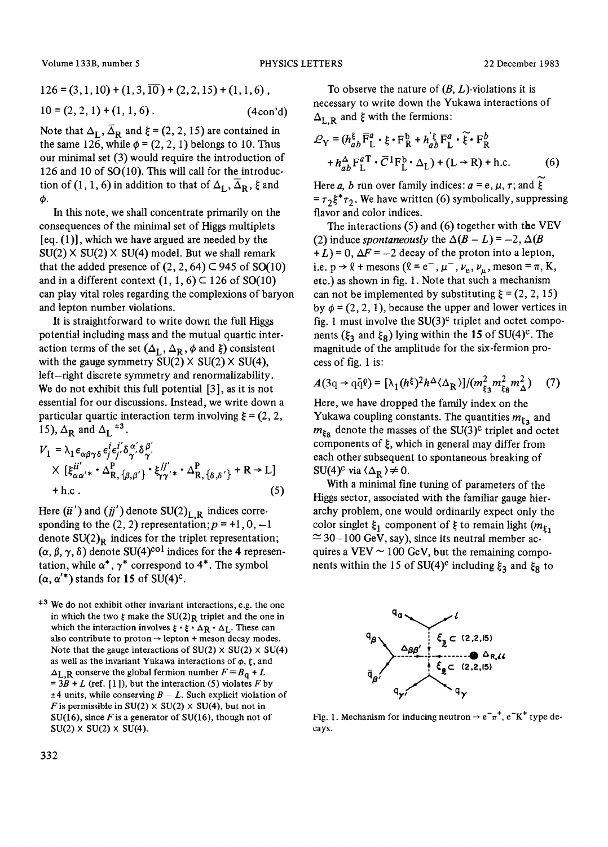Volume 133B, number 5 PHYSICS LETTERS 22 December 1983

$$
126 = (3, 1, 10) + (1, 3, 10) + (2, 2, 15) + (1, 1, 6),
$$
  

$$
10 = (2, 2, 1) + (1, 1, 6).
$$
 (4con'd)

Note that  $\Delta_{\text{L}}$ ,  $\overline{\Delta}_{\text{R}}$  and  $\xi$  = (2, 2, 15) are contained in the same 126, while  $\phi = (2, 2, 1)$  belongs to 10. Thus our minimal set (3) would require the introduction of 126 and 10 of SO(10). This will call for the introduction of (1, 1, 6) in addition to that of  $\Delta_{\mathbf{L}}$ ,  $\Delta_{\mathbf{R}}$ ,  $\xi$  and  $\phi$ .

In this note, we shall concentrate primarily on the consequences of the minimal set of Higgs multiplets  $[eq. (1)]$ , which we have argued are needed by the  $SU(2)$  X  $SU(2)$  X  $SU(4)$  model. But we shall remark that the added presence of  $(2, 2, 64) \subset 945$  of SO(10) and in a different context  $(1, 1, 6)$   $\subset$  126 of SO(10) can play vital roles regarding the complexions of baryon and lepton number violations.

It is straightforward to write down the full Higgs potential including mass and the mutual quartic interaction terms of the set  $(\Delta_L, \Delta_R, \phi \text{ and } \xi)$  consistent with the gauge symmetry  $SU(2) \times SU(2) \times SU(4)$ , left-right discrete symmetry and renormalizability. We do not exhibit this full potential [3], as it is not essential for our discussions. Instead, we write down a particular quartic interaction term involving  $\xi = (2, 2, ...)$ 15),  $\Delta_R$  and  $\Delta_L$ <sup>+3</sup>.

$$
V_1 = \lambda_1 \epsilon_{\alpha\beta\gamma\delta} \epsilon_j^i \epsilon_j^{i'} \delta_{\gamma'}^{\alpha'} \delta_{\gamma'}^{\beta'}
$$
  
× 
$$
[\xi_{\alpha\alpha'}^{ii'} \cdot \Delta_{\mathbf{R}, {\{\beta, \beta'\}}}^{P} \cdot \xi_{\gamma\gamma'}^{jj'} \cdot \Delta_{\mathbf{R}, {\{\delta, \delta'\}}}^{P} + \mathbf{R} \rightarrow \mathbf{L}]
$$
  
+ h.c. (5)

Here  $(ii')$  and  $(jj')$  denote  $SU(2)_{L,R}$  indices corresponding to the  $(2, 2)$  representation;  $p = +1, 0, -1$ denote  $SU(2)_R$  indices for the triplet representation;  $(\alpha, \beta, \gamma, \delta)$  denote SU(4)<sup>col</sup> indices for the 4 representation, while  $\alpha^*$ ,  $\gamma^*$  correspond to 4<sup>\*</sup>. The symbol  $(\alpha, \alpha'^*)$  stands for 15 of SU(4)<sup>c</sup>.

 $*3$  We do not exhibit other invariant interactions, e.g. the one in which the two  $\zeta$  make the SU(2)<sub>R</sub> triplet and the one in which the interaction involves  $\xi \cdot \xi \cdot \Delta_R \cdot \Delta_L$ . These can also contribute to proton  $\rightarrow$  lepton + meson decay modes. Note that the gauge interactions of  $SU(2) \times SU(2) \times SU(4)$ as well as the invariant Yukawa interactions of  $\phi$ ,  $\xi$ , and  $\Delta_{L,R}$  conserve the global fermion number  $F = B_q + L$ =  $3B + L$  (ref. [1]), but the interaction (5) violates F by  $\pm 4$  units, while conserving  $B - L$ . Such explicit violation of F is permissible in  $SU(2) \times SU(2) \times SU(4)$ , but not in SU(16), since  $F$  is a generator of SU(16), though not of  $SU(2) \times SU(2) \times SU(4)$ .

To observe the nature of *(B,* L)-violations it is necessary to write down the Yukawa interactions of  $\Delta_{\text{L}, \text{R}}$  and  $\xi$  with the fermions:

$$
\mathcal{L}_{\mathbf{Y}} = (h_{ab}^{\xi} \overline{\mathbf{F}}_{\mathbf{L}}^{a} \cdot \xi \cdot \mathbf{F}_{\mathbf{R}}^{b} + h_{ab}^{'\xi} \overline{\mathbf{F}}_{\mathbf{L}}^{a} \cdot \widetilde{\xi} \cdot \mathbf{F}_{\mathbf{R}}^{b}
$$

$$
+ h_{ab}^{\Delta} \mathbf{F}_{\mathbf{L}}^{a} \cdot \overline{C}^{1} \mathbf{F}_{\mathbf{L}}^{b} \cdot \Delta_{\mathbf{L}}) + (\mathbf{L} \rightarrow \mathbf{R}) + \text{h.c.}
$$
(6)

Here *a*, *b* run over family indices:  $a = e, \mu, \tau$ ; and  $\xi$  $=\tau_2\xi^*\tau_2$ . We have written (6) symbolically, suppressing flavor and color indices.

The interactions (5) and (6) together with the VEV (2) induce *spontaneously* the  $\Delta(B - L) = -2$ ,  $\Delta(B$  $+ L$ ) = 0,  $\Delta F = -2$  decay of the proton into a lepton, i.e.  $p \rightarrow \ell$  + mesons  $(\ell = e^-$ ,  $\mu^-$ ,  $\nu_e$ ,  $\nu_\mu$ , meson =  $\pi$ , K, etc.) as shown in fig. 1. Note that such a mechanism can not be implemented by substituting  $\xi = (2, 2, 15)$ by  $\phi = (2, 2, 1)$ , because the upper and lower vertices in fig. 1 must involve the  $SU(3)^c$  triplet and octet components ( $\xi_3$  and  $\xi_8$ ) lying within the 15 of SU(4)<sup>c</sup>. The magnitude of the amplitude for the six-fermion process of fig. 1 is:

$$
A(3q \rightarrow q\bar{q}\ell) = \left[\lambda_1(h^{\xi})^2 h^{\Delta} \langle \Delta_{\mathbf{R}} \rangle\right] / (m_{\xi_3}^2 m_{\xi_8}^2 m_{\Delta}^2) \quad (7)
$$

Here, we have dropped the family index on the Yukawa coupling constants. The quantities  $m_{\xi_3}$  and  $m_{\text{g}}$  denote the masses of the SU(3)<sup>c</sup> triplet and octet components of  $\xi$ , which in general may differ from each other subsequent to spontaneous breaking of  $SU(4)^c$  via  $\langle \Delta_{\bf R} \rangle \neq 0$ .

With a minimal fine tuning of parameters of the Higgs sector, associated with the familiar gauge hierarchy problem, one would ordinarily expect only the color singlet  $\xi_1$  component of  $\xi$  to remain light  $(m_{\xi_1})$  $\simeq$  30-100 GeV, say), since its neutral member acquires a VEV  $\sim$  100 GeV, but the remaining components within the 15 of SU(4)<sup>c</sup> including  $\xi_3$  and  $\xi_8$  to



Fig. 1. Mechanism for inducing neutron  $\rightarrow e^-\pi^+$ , e<sup>-</sup>K<sup>+</sup> type decays.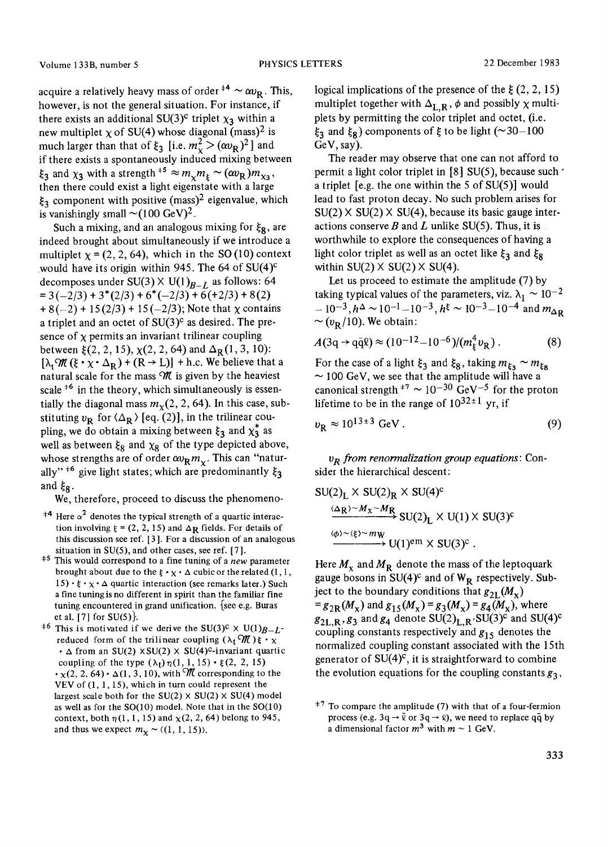acquire a relatively heavy mass of order  $^{+4} \sim \alpha v_{\rm R}$ . This, however, is not the general situation. For instance, if there exists an additional SU(3)<sup>c</sup> triplet  $\chi_3$  within a new multiplet  $\chi$  of SU(4) whose diagonal (mass)<sup>2</sup> is much larger than that of  $\xi_3$  [i.e.  $m_\chi^2 > (\alpha v_R)^2$ ] and if there exists a spontaneously induced mixing between  $\xi_3$  and  $\chi_3$  with a strength <sup>+5</sup>  $\approx m_\chi m_\chi \sim (\omega v_R) m_{\chi_3}$ , then there could exist a light eigenstate with a large  $\xi_3$  component with positive (mass)<sup>2</sup> eigenvalue, which is vanishingly small  $\sim (100 \text{ GeV})^2$ .

Such a mixing, and an analogous mixing for  $\xi_{\mathbf{R}}$ , are indeed brought about simultaneously if we introduce a multiplet  $\chi = (2, 2, 64)$ , which in the SO(10) context would have its origin within 945. The 64 of  $SU(4)^\mathbb{C}$ decomposes under SU(3)  $\times$  U(1)<sub>B\_t</sub> as follows: 64  $= 3(-2/3) + 3*(2/3) + 6*(-2/3) + 6(2/3) + 8(2)$  $+ 8(-2) + 15(2/3) + 15(-2/3)$ ; Note that  $\chi$  contains a triplet and an octet of  $SU(3)^c$  as desired. The presence of  $x$  permits an invariant trilinear coupling between  $\zeta(2, 2, 15)$ ,  $\chi(2, 2, 64)$  and  $\Delta_R(1, 3, 10)$ :  $[\lambda_1 \mathcal{M} (\xi \cdot \chi \cdot \Delta_R) + (R \rightarrow L)] + h.c.$  We believe that a natural scale for the mass  $M$  is given by the heaviest scale  $*6$  in the theory, which simultaneously is essentially the diagonal mass  $m<sub>x</sub>(2, 2, 64)$ . In this case, substituting  $v_R$  for  $\langle \Delta_R \rangle$  [eq. (2)], in the trilinear coupling, we do obtain a mixing between  $\xi_3$  and  $\chi_3^*$  as well as between  $\xi_8$  and  $\chi_8$  of the type depicted above, whose strengths are of order  $\omega_R m_{\nu}$ . This can "naturally"<sup> $\pm$ 6</sup> give light states; which are predominantly  $\xi_3$ and  $\xi_{\mathbf{R}}$ .

We, therefore, proceed to discuss the phenomeno-

- <sup> $\pm$ 4</sup> Here  $\alpha^2$  denotes the typical strength of a quartic interaction involving  $\zeta = (2, 2, 15)$  and  $\Delta$ **R** fields. For details of this discussion see ref. [3 ]. For a discussion of an analogous situation in  $SU(5)$ , and other cases, see ref. [7].
- $\pm$ <sup>5</sup> This would correspond to a fine tuning of a *new* parameter brought about due to the  $\xi \cdot \chi \cdot \Delta$  cubic or the related (1, 1,  $15) \cdot \xi \cdot \chi \cdot \Delta$  quartic interaction (see remarks later.) Such a fine tuning is no different in spirit than the familiar fine tuning encountered in grand unification. {see e.g. Buras et al. [7] for  $SU(5)$ .
- <sup>+6</sup> This is motivated if we derive the SU(3)<sup>c</sup>  $\times$  U(1)<sub>B-L</sub>reduced form of the trilinear coupling  $(\lambda_t \mathcal{M}) \xi \cdot \chi$  $\cdot$   $\Delta$  from an SU(2)  $\times$  SU(2)  $\times$  SU(4)<sup>c</sup>-invariant quartic coupling of the type  $(\lambda_t)\eta(1, 1, 15) \cdot \xi(2, 2, 15)$  $\cdot$  x(2, 2, 64)  $\cdot$   $\Delta$ (1, 3, 10), with  $\mathcal {M}$  corresponding to the VEV of  $(1, 1, 15)$ , which in turn could represent the largest scale both for the  $SU(2) \times SU(2) \times SU(4)$  model as well as for the SO(10) model. Note that in the SO(10) context, both  $\eta(1, 1, 15)$  and  $\chi(2, 2, 64)$  belong to 945, and thus we expect  $m<sub>x</sub> \sim \langle (1, 1, 15) \rangle$ .

logical implications of the presence of the  $\xi$  (2, 2, 15) multiplet together with  $\Delta_{\text{L,R}}$ ,  $\phi$  and possibly  $\chi$  multiplets by permitting the color triplet and octet, (i.e.  $\xi_3$  and  $\xi_8$ ) components of  $\xi$  to be light (~30-100 GeV, say).

The reader may observe that one can not afford to permit a light color triplet in  $[8]$  SU(5), because such  $\prime$ a triplet [e.g. the one within the 5 of  $SU(5)$ ] would lead to fast proton decay. No such problem arises for  $SU(2) \times SU(2) \times SU(4)$ , because its basic gauge interactions conserve B and L unlike  $SU(5)$ . Thus, it is worthwhile to explore the consequences of having a light color triplet as well as an octet like  $\xi_3$  and  $\xi_8$ within  $SU(2) \times SU(2) \times SU(4)$ .

Let us proceed to estimate the amplitude (7) by taking typical values of the parameters, viz.  $\lambda_1 \sim 10^{-2}$  $- 10^{-3}$ ,  $h^{\Delta} \sim 10^{-1} - 10^{-3}$ ,  $h^{\xi} \sim 10^{-3} - 10^{-4}$  and  $m_{\Delta D}$  $\sim (v_{\rm p}/10)$ . We obtain:

$$
A(3q \to q\bar{q}\ell) \approx (10^{-12} - 10^{-6})/(m_{\xi}^4 v_{\rm R}). \tag{8}
$$

For the case of a light  $\xi_3$  and  $\xi_8$ , taking  $m_{\xi_3} \sim m_{\xi_8}$  $\sim$  100 GeV, we see that the amplitude will have a canonical strength  $^{+7}$  ~ 10<sup>-30</sup> GeV<sup>-5</sup> for the proton lifetime to be in the range of  $10^{32 \pm 1}$  yr, if

$$
v_{\rm R} \approx 10^{13 \pm 3} \text{ GeV} \,. \tag{9}
$$

*o R from renormalization group equations:* Consider the hierarchical descent:

$$
SU(2)_{L} \times SU(2)_{R} \times SU(4)^{c}
$$
  
\n
$$
\xrightarrow{\langle \Delta R \rangle \sim M_{X} \sim M_{R}} SU(2)_{L} \times U(1) \times SU(3)^{c}
$$
  
\n
$$
\xrightarrow{\langle \phi \rangle \sim \langle \xi \rangle \sim m_{W}} U(1)^{em} \times SU(3)^{c}
$$

Here  $M_{\rm x}$  and  $M_{\rm R}$  denote the mass of the leptoquark gauge bosons in  $SU(4)^c$  and of  $W_R$  respectively. Subject to the boundary conditions that  $g_{2L}(M_x)$  $= g_{2R}(M_x)$  and  $g_{15}(M_x) = g_3(M_x) = g_4(M_x)$ , where  $g_{2L,R}$ ,  $g_3$  and  $g_4$  denote  $SU(2)_{L,R}$ , SU(3)<sup>c</sup> and SU(4)<sup>c</sup> coupling constants respectively and  $g_{15}$  denotes the normalized coupling constant associated with the 15th generator of  $SU(4)^c$ , it is straightforward to combine the evolution equations for the coupling constants  $g_3$ ,

 $\pm$ <sup>7</sup> To compare the amplitude (7) with that of a four-fermion process (e.g.  $3q \rightarrow \bar{q}$  or  $3q \rightarrow \bar{q}$ ), we need to replace  $q\bar{q}$  by a dimensional factor  $m^3$  with  $m \sim 1$  GeV.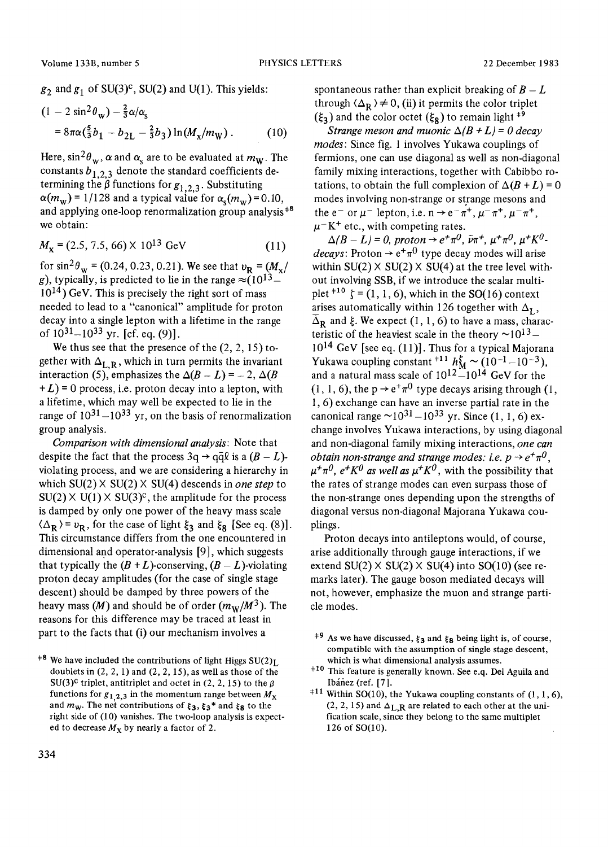$g_2$  and  $g_1$  of SU(3)<sup>c</sup>, SU(2) and U(1). This yields:

$$
(1 - 2\sin^2\theta_w) - \frac{2}{3}\alpha/\alpha_s
$$
  
=  $8\pi\alpha(\frac{5}{3}b_1 - b_{2L} - \frac{2}{3}b_3)\ln(M_x/m_W)$ . (10)

Here,  $\sin^2\theta_w$ ,  $\alpha$  and  $\alpha_s$  are to be evaluated at  $m_w$ . The constants  $b_{1,2,3}$  denote the standard coefficients determining the  $\beta$  functions for  $g_{1,2,3}$ . Substituting  $\alpha(m_w) = 1/128$  and a typical value for  $\alpha_s(m_w) = 0.10$ , and applying one-loop renormalization group analysis<sup>+8</sup> we obtain:

$$
M_{\rm x} = (2.5, 7.5, 66) \times 10^{13} \text{ GeV} \tag{11}
$$

for sin<sup>2</sup> $\theta_{\rm w}$  = (0.24, 0.23, 0.21). We see that  $v_{\rm R}$  = ( $M_{\rm x}/$ ) g), typically, is predicted to lie in the range  $\approx$  (10<sup>13</sup> –  $10^{14}$ ) GeV. This is precisely the right sort of mass needed to lead to a "canonical" amplitude for proton decay into a single lepton with a lifetime in the range of  $10^{31} - 10^{33}$  yr. [cf. eq. (9)].

We thus see that the presence of the  $(2, 2, 15)$  together with  $\Delta_{\text{L,R}}$ , which in turn permits the invariant interaction (5), emphasizes the  $\Delta(B - L) = -2$ ,  $\Delta(B$  $+ L$ ) = 0 process, i.e. proton decay into a lepton, with a lifetime, which may well be expected to lie in the range of  $10^{31} - 10^{33}$  yr, on the basis of renormalization group analysis.

*Comparison with dimensional analysis:* Note that despite the fact that the process  $3q \rightarrow q\bar{q}\ell$  is a  $(B - L)$ violating process, and we are considering a hierarchy in which  $SU(2) \times SU(2) \times SU(4)$  descends in *one step* to  $SU(2)$  X U(1) X  $SU(3)^c$ , the amplitude for the process is damped by only one power of the heavy mass scale  $\langle \Delta_{\bf R} \rangle$  =  $v_{\bf R}$ , for the case of light  $\xi_3$  and  $\xi_8$  [See eq. (8)]. This circumstance differs from the one encountered in dimensional and operator-analysis [9], which suggests that typically the  $(B + L)$ -conserving,  $(B - L)$ -violating proton decay amplitudes (for the case of single stage descent) should be damped by three powers of the heavy mass  $(M)$  and should be of order  $(m_W/M^3)$ . The reasons for this difference may be traced at least in part to the facts that (i) our mechanism involves a

spontaneous rather than explicit breaking of  $B - L$ through  $\langle \Delta_{\bf R} \rangle \neq 0$ , (ii) it permits the color triplet  $(\xi_3)$  and the color octet  $(\xi_8)$  to remain light <sup>+9</sup>

*Strange meson and muonic*  $\Delta(B + L) = 0$  *decay modes:* Since fig. 1 involves Yukawa couplings of fermions, one can use diagonal as well as non-diagonal family mixing interactions, together with Cabibbo rotations, to obtain the full complexion of  $\Delta(B+L) = 0$ modes involving non-strange or strange mesons and the e<sup>-</sup> or  $\mu$ <sup>-</sup> lepton, i.e.  $n \rightarrow e^- \pi^+$ ,  $\mu^- \pi^+$ ,  $\mu^- \pi^+$ ,  $\mu$ <sup>-</sup>K<sup>+</sup> etc., with competing rates.

 $\Delta(B - L) = 0$ , proton  $\rightarrow e^+ \pi^0$ ,  $\bar{\nu} \pi^+$ ,  $\mu^+ \pi^0$ ,  $\mu^+ K^0$ *decays:* Proton  $\rightarrow e^+\pi^0$  type decay modes will arise within  $SU(2) \times SU(2) \times SU(4)$  at the tree level without involving SSB, if we introduce the scalar multiplet  $*^{10} \zeta = (1, 1, 6)$ , which in the SO(16) context arises automatically within 126 together with  $\Delta_{\text{L}}$ ,  $\overline{\Delta}_{\bf R}$  and  $\xi$ . We expect (1, 1, 6) to have a mass, characteristic of the heaviest scale in the theory  $\sim 10^{13}$  $10^{14}$  GeV [see eq. (11)]. Thus for a typical Majorana Yukawa coupling constant <sup>#11</sup>  $h_{\rm M}^2 \sim (10^{-1} - 10^{-3})$ , and a natural mass scale of  $10^{12}$ -10<sup>14</sup> GeV for the  $(1, 1, 6)$ , the  $p \rightarrow e^{+}\pi^{0}$  type decays arising through  $(1, 1, 6)$ 1, 6) exchange can have an inverse partial rate in the canonical range  $\sim 10^{31} - 10^{33}$  yr. Since (1, 1, 6) exchange involves Yukawa interactions, by using diagonal and non-diagonal family mixing interactions, *one can obtain non-strange and strange modes: i.e.*  $p \rightarrow e^+ \pi^0$ .  $\mu^+\pi^0$ ,  $e^+K^0$  as well as  $\mu^+K^0$ , with the possibility that the rates of strange modes can even surpass those of the non-strange ones depending upon the strengths of diagonal versus non-diagonal Majorana Yukawa couplings.

Proton decays into antileptons would, of course, arise additionally through gauge interactions, if we extend  $SU(2) \times SU(2) \times SU(4)$  into  $SO(10)$  (see remarks later). The gauge boson mediated decays will not, however, emphasize the muon and strange particle modes.

<sup>&</sup>lt;sup>+8</sup> We have included the contributions of light Higgs  $SU(2)_L$ doublets in  $(2, 2, 1)$  and  $(2, 2, 15)$ , as well as those of the SU(3)<sup>c</sup> triplet, antitriplet and octet in (2, 2, 15) to the  $\beta$ functions for  $g_{1,2,3}$  in the momentum range between  $M_X$ and  $m_W$ . The net contributions of  $\xi_3$ ,  $\zeta_3$ <sup>\*</sup> and  $\xi_8$  to the right side of (10) vanishes. The two-loop analysis is expected to decrease  $M_X$  by nearly a factor of 2.

<sup>&</sup>lt;sup>+9</sup> As we have discussed,  $\xi_3$  and  $\xi_8$  being light is, of course, compatible with the assumption of single stage descent, which is what dimensional analysis assumes.

<sup>&</sup>lt;sup>#10</sup> This feature is generally known. See e.q. Del Aguila and Ibáñez (ref. [7].

<sup>&</sup>lt;sup> $\pm$ 11</sup> Within SO(10), the Yukawa coupling constants of (1, 1, 6),  $(2, 2, 15)$  and  $\Delta$ <sub>L</sub>, R are related to each other at the unification scale, since they belong to the same multiplet 126 of SO(10).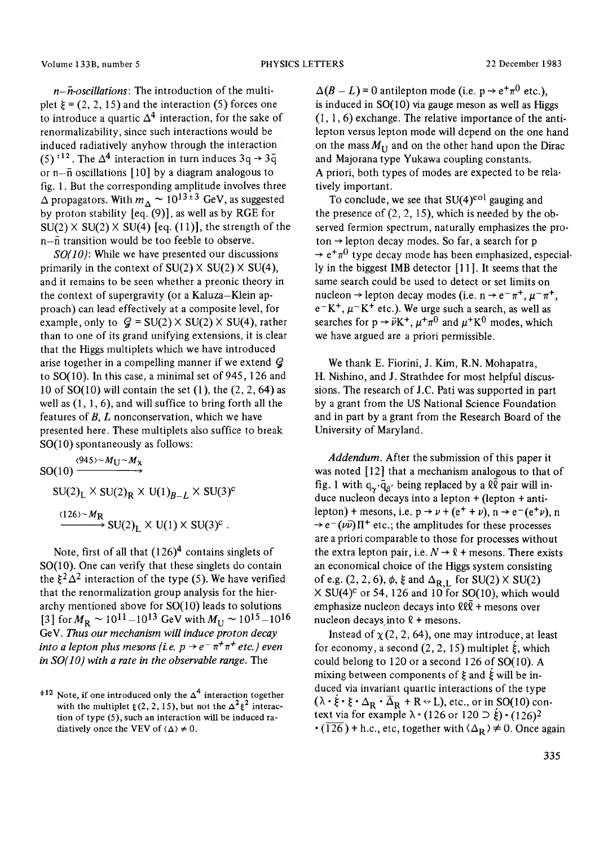*n-n-oscillations: The* introduction of the multiplet  $\xi = (2, 2, 15)$  and the interaction (5) forces one to introduce a quartic  $\Delta^4$  interaction, for the sake of renormalizability, since such interactions would be induced radiatively anyhow through the interaction (5)<sup> $\pm$ 12</sup>. The  $\Delta$ <sup>4</sup> interaction in turn induces 3q  $\rightarrow$  3 $\bar{q}$ or n-fi oscillations [10] by a diagram analogous to fig. 1. But the corresponding amplitude involves three  $\Delta$  propagators. With  $m_{\Delta} \sim 10^{13 \pm 3}$  GeV, as suggested by proton stability  $[eq. (9)]$ , as well as by RGE for  $SU(2) \times SU(2) \times SU(4)$  [eq. (11)], the strength of the n-fi transition would be too feeble to observe.

*S0(10):* While we have presented our discussions primarily in the context of  $SU(2) \times SU(2) \times SU(4)$ , and it remains to be seen whether a preonic theory in the context of supergravity (or a Kaluza-Klein approach) can lead effectively at a composite level, for example, only to  $q = SU(2) \times SU(2) \times SU(4)$ , rather than to one of its grand unifying extensions, it is clear that the Higgs multiplets which we have introduced arise together in a compelling manner if we extend  $\mathcal G$ to SO(10). In this case, a minimal set of 945,126 and 10 of  $SO(10)$  will contain the set (1), the  $(2, 2, 64)$  as well as  $(1, 1, 6)$ , and will suffice to bring forth all the features of  $B$ ,  $L$  nonconservation, which we have presented here. These multiplets also suffice to break SO(10) spontaneously as follows:

(945)~ $M_{\rm U}$ ~ $M_{\rm X}$  $SO(10)$   $\longrightarrow$  $SU(2)_L \times SU(2)_R \times U(1)_{B-L} \times SU(3)^c$  $(126)~M_{\rm R}$  $\rightarrow$  SU(2)<sub>L</sub>  $\times$  U(1)  $\times$  SU(3)<sup>c</sup>.

Note, first of all that  $(126)^4$  contains singlets of SO(10). One can verify that these singlets do contain the  $\zeta^2 \Delta^2$  interaction of the type (5). We have verified that the renormalization group analysis for the hierarchy mentioned above for SO(10) leads to solutions [3] for  $M_R \sim 10^{11} - 10^{13}$  GeV with  $M_{\rm U} \sim 10^{15} - 10^{16}$ GeV. *Thus our mechanism will induce proton decay into a lepton plus mesons (i.e.*  $p \rightarrow e^- \pi^+ \pi^+$  *etc.) even in SO(10) with a rate in the observable range.* The

 $\Delta(B - L) = 0$  antilepton mode (i.e.  $p \rightarrow e^+ \pi^0$  etc.), is induced in SO(10) via gauge meson as well as Higgs  $(1, 1, 6)$  exchange. The relative importance of the antilepton versus lepton mode will depend on the one hand on the mass  $M_{\text{H}}$  and on the other hand upon the Dirac and Majorana type Yukawa coupling constants. A priori, both types of modes are expected to be relatively important.

To conclude, we see that  $SU(4)^{col}$  gauging and the presence of  $(2, 2, 15)$ , which is needed by the observed fermion spectrum, naturally emphasizes the proton  $\rightarrow$  lepton decay modes. So far, a search for p  $\rightarrow e^+\pi^0$  type decay mode has been emphasized, especially in the biggest IMB detector [11 ]. It seems that the same search could be used to detect or set limits on nucleon  $\rightarrow$  lepton decay modes (i.e. n  $\rightarrow$  e<sup>-</sup> $\pi^{+}$ ,  $\mu^{-}\pi^{+}$ ,  $e^-K^+$ ,  $\mu^-K^+$  etc.). We urge such a search, as well as searches for  $p \rightarrow \tilde{\nu} K^+$ ,  $\mu^+\pi^0$  and  $\mu^+K^0$  modes, which we have argued are a priori permissible.

We thank E. Fiorini, J. Kim, R.N. Mohapatra, H. Nishino, and J. Strathdee for most helpful discussions. The research of J.C. Pati was supported in part by a grant from the US National Science Foundation and in part by a grant from the Research Board of the University of Maryland.

*Addendum.* After the submission of this paper it was noted [12] that a mechanism analogous to that of fig. 1 with  $q_{\alpha'}\bar{q}_{\beta'}$  being replaced by a  $\ell\ell$  pair will induce nucleon decays into a lepton + (lepton + antilepton) + mesons, i.e.  $p \rightarrow \nu + (e^+ + \nu)$ ,  $n \rightarrow e^-(e^+ \nu)$ , n  $\rightarrow e^{-}(\nu \bar{\nu})\Pi^{+}$  etc.; the amplitudes for these processes are a priori comparable to those for processes without the extra lepton pair, i.e.  $N \rightarrow \ell$  + mesons. There exists an economical choice of the Higgs system consisting of e.g.  $(2, 2, 6)$ ,  $\phi$ ,  $\xi$  and  $\Delta_{R,L}$  for SU(2)  $\times$  SU(2)  $\times$  SU(4)<sup>c</sup> or 54, 126 and 10 for SO(10), which would emphasize nucleon decays into  $\ell\ell\bar{\ell}$  + mesons over nucleon decays into  $\ell$  + mesons.

Instead of  $\chi$  (2, 2, 64), one may introduce, at least for economy, a second  $(2, 2, 15)$  multiplet  $\acute{\xi}$ , which could belong to 120 or a second 126 of SO(10). A mixing between components of  $\xi$  and  $\xi$  will be induced via invariant quartic interactions of the type  $(\lambda \cdot \xi \cdot \xi \cdot \Delta_R \cdot \overline{\Delta}_R + R \leftrightarrow L)$ , etc., or in SO(10) context via for example  $\lambda \cdot (126 \text{ or } 120 \supset \xi) \cdot (126)^2$  $\cdot$  (126) + h.c., etc, together with  $\langle \Delta_R \rangle \neq 0$ . Once again

<sup>&</sup>lt;sup>#12</sup> Note, if one introduced only the  $\Delta^4$  interaction together with the multiplet  $\zeta(2, 2, 15)$ , but not the  $\Delta^2 \zeta^2$  interaction of type (5), such an interaction will be induced radiatively once the VEV of  $\langle \Delta \rangle \neq 0$ .